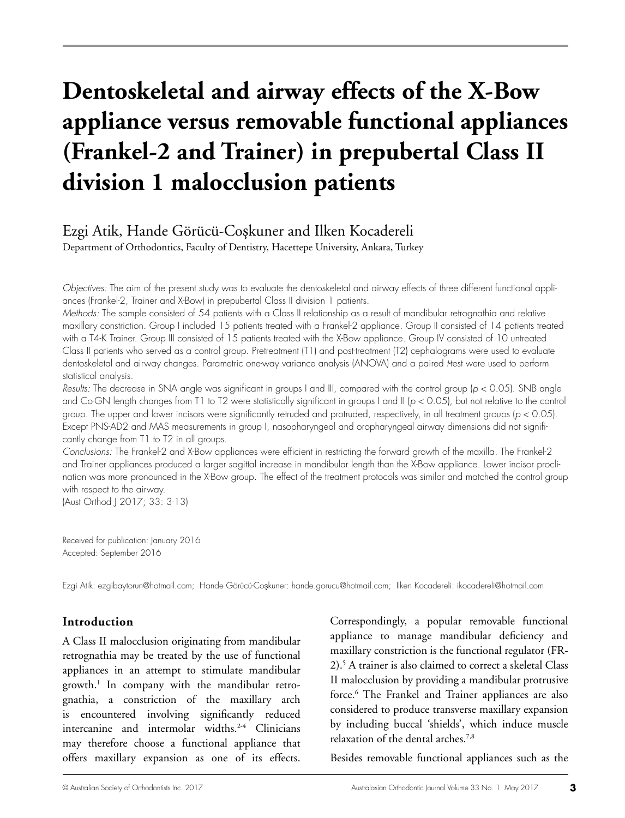# **Dentoskeletal and airway effects of the X-Bow appliance versus removable functional appliances (Frankel-2 and Trainer) in prepubertal Class II division 1 malocclusion patients**

## Ezgi Atik, Hande Görücü-Coşkuner and Ilken Kocadereli

Department of Orthodontics, Faculty of Dentistry, Hacettepe University, Ankara, Turkey

*Objectives:* The aim of the present study was to evaluate the dentoskeletal and airway effects of three different functional appliances (Frankel-2, Trainer and X-Bow) in prepubertal Class II division 1 patients.

*Methods:* The sample consisted of 54 patients with a Class II relationship as a result of mandibular retrognathia and relative maxillary constriction. Group I included 15 patients treated with a Frankel-2 appliance. Group II consisted of 14 patients treated with a T4-K Trainer. Group III consisted of 15 patients treated with the X-Bow appliance. Group IV consisted of 10 untreated Class II patients who served as a control group. Pretreatment (T1) and post-treatment (T2) cephalograms were used to evaluate dentoskeletal and airway changes. Parametric one-way variance analysis (ANOVA) and a paired *t*-test were used to perform statistical analysis.

*Results:* The decrease in SNA angle was significant in groups I and III, compared with the control group (*p* < 0.05). SNB angle and Co-GN length changes from T1 to T2 were statistically significant in groups I and II (*p* < 0.05), but not relative to the control group. The upper and lower incisors were significantly retruded and protruded, respectively, in all treatment groups (*p* < 0.05). Except PNS-AD2 and MAS measurements in group I, nasopharyngeal and oropharyngeal airway dimensions did not significantly change from T1 to T2 in all groups.

*Conclusions:* The Frankel-2 and X-Bow appliances were efficient in restricting the forward growth of the maxilla. The Frankel-2 and Trainer appliances produced a larger sagittal increase in mandibular length than the X-Bow appliance. Lower incisor proclination was more pronounced in the X-Bow group. The effect of the treatment protocols was similar and matched the control group with respect to the airway.

(Aust Orthod J 2017; 33: 3-13)

Received for publication: January 2016 Accepted: September 2016

Ezgi Atik: ezgibaytorun@hotmail.com; Hande Görücü-Coşkuner: hande.gorucu@hotmail.com; Ilken Kocadereli: ikocadereli@hotmail.com

#### **Introduction**

A Class II malocclusion originating from mandibular retrognathia may be treated by the use of functional appliances in an attempt to stimulate mandibular growth.1 In company with the mandibular retrognathia, a constriction of the maxillary arch is encountered involving significantly reduced intercanine and intermolar widths.<sup>2-4</sup> Clinicians may therefore choose a functional appliance that offers maxillary expansion as one of its effects.

Correspondingly, a popular removable functional appliance to manage mandibular deficiency and maxillary constriction is the functional regulator (FR-2).5 A trainer is also claimed to correct a skeletal Class II malocclusion by providing a mandibular protrusive force.<sup>6</sup> The Frankel and Trainer appliances are also considered to produce transverse maxillary expansion by including buccal 'shields', which induce muscle relaxation of the dental arches.7,8

Besides removable functional appliances such as the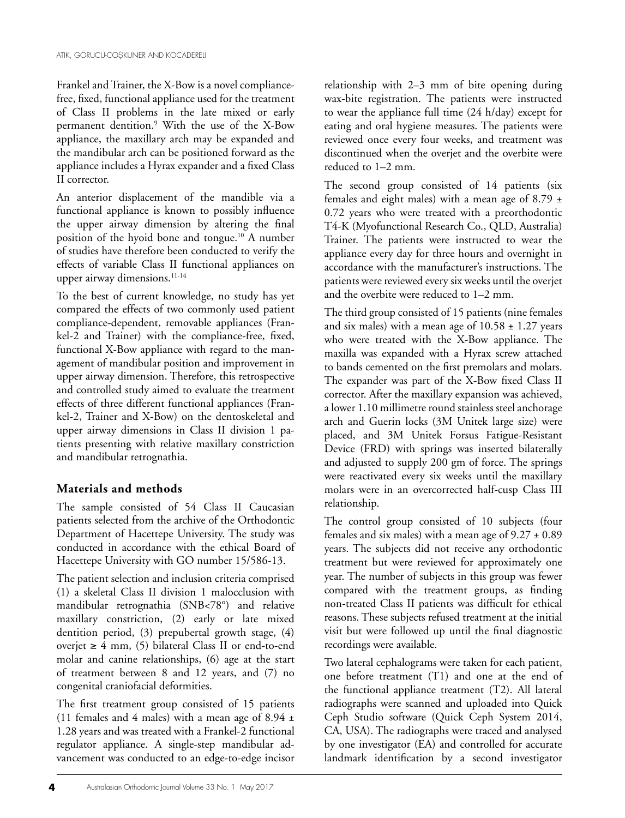Frankel and Trainer, the X-Bow is a novel compliancefree, fixed, functional appliance used for the treatment of Class II problems in the late mixed or early permanent dentition.9 With the use of the X-Bow appliance, the maxillary arch may be expanded and the mandibular arch can be positioned forward as the appliance includes a Hyrax expander and a fixed Class II corrector.

An anterior displacement of the mandible via a functional appliance is known to possibly influence the upper airway dimension by altering the final position of the hyoid bone and tongue.10 A number of studies have therefore been conducted to verify the effects of variable Class II functional appliances on upper airway dimensions.<sup>11-14</sup>

To the best of current knowledge, no study has yet compared the effects of two commonly used patient compliance-dependent, removable appliances (Frankel-2 and Trainer) with the compliance-free, fixed, functional X-Bow appliance with regard to the management of mandibular position and improvement in upper airway dimension. Therefore, this retrospective and controlled study aimed to evaluate the treatment effects of three different functional appliances (Frankel-2, Trainer and X-Bow) on the dentoskeletal and upper airway dimensions in Class II division 1 patients presenting with relative maxillary constriction and mandibular retrognathia.

### **Materials and methods**

The sample consisted of 54 Class II Caucasian patients selected from the archive of the Orthodontic Department of Hacettepe University. The study was conducted in accordance with the ethical Board of Hacettepe University with GO number 15/586-13.

The patient selection and inclusion criteria comprised (1) a skeletal Class II division 1 malocclusion with mandibular retrognathia (SNB<78°) and relative maxillary constriction, (2) early or late mixed dentition period, (3) prepubertal growth stage, (4) overjet ≥ 4 mm,  $(5)$  bilateral Class II or end-to-end molar and canine relationships, (6) age at the start of treatment between 8 and 12 years, and (7) no congenital craniofacial deformities.

The first treatment group consisted of 15 patients (11 females and 4 males) with a mean age of 8.94  $\pm$ 1.28 years and was treated with a Frankel-2 functional regulator appliance. A single-step mandibular advancement was conducted to an edge-to-edge incisor

relationship with 2–3 mm of bite opening during wax-bite registration. The patients were instructed to wear the appliance full time (24 h/day) except for eating and oral hygiene measures. The patients were reviewed once every four weeks, and treatment was discontinued when the overjet and the overbite were reduced to 1–2 mm.

The second group consisted of 14 patients (six females and eight males) with a mean age of 8.79  $\pm$ 0.72 years who were treated with a preorthodontic T4-K (Myofunctional Research Co., QLD, Australia) Trainer. The patients were instructed to wear the appliance every day for three hours and overnight in accordance with the manufacturer's instructions. The patients were reviewed every six weeks until the overjet and the overbite were reduced to 1–2 mm.

The third group consisted of 15 patients (nine females and six males) with a mean age of  $10.58 \pm 1.27$  years who were treated with the X-Bow appliance. The maxilla was expanded with a Hyrax screw attached to bands cemented on the first premolars and molars. The expander was part of the X-Bow fixed Class II corrector. After the maxillary expansion was achieved, a lower 1.10 millimetre round stainless steel anchorage arch and Guerin locks (3M Unitek large size) were placed, and 3M Unitek Forsus Fatigue-Resistant Device (FRD) with springs was inserted bilaterally and adjusted to supply 200 gm of force. The springs were reactivated every six weeks until the maxillary molars were in an overcorrected half-cusp Class III relationship.

The control group consisted of 10 subjects (four females and six males) with a mean age of  $9.27 \pm 0.89$ years. The subjects did not receive any orthodontic treatment but were reviewed for approximately one year. The number of subjects in this group was fewer compared with the treatment groups, as finding non-treated Class II patients was difficult for ethical reasons. These subjects refused treatment at the initial visit but were followed up until the final diagnostic recordings were available.

Two lateral cephalograms were taken for each patient, one before treatment (T1) and one at the end of the functional appliance treatment (T2). All lateral radiographs were scanned and uploaded into Quick Ceph Studio software (Quick Ceph System 2014, CA, USA). The radiographs were traced and analysed by one investigator (EA) and controlled for accurate landmark identification by a second investigator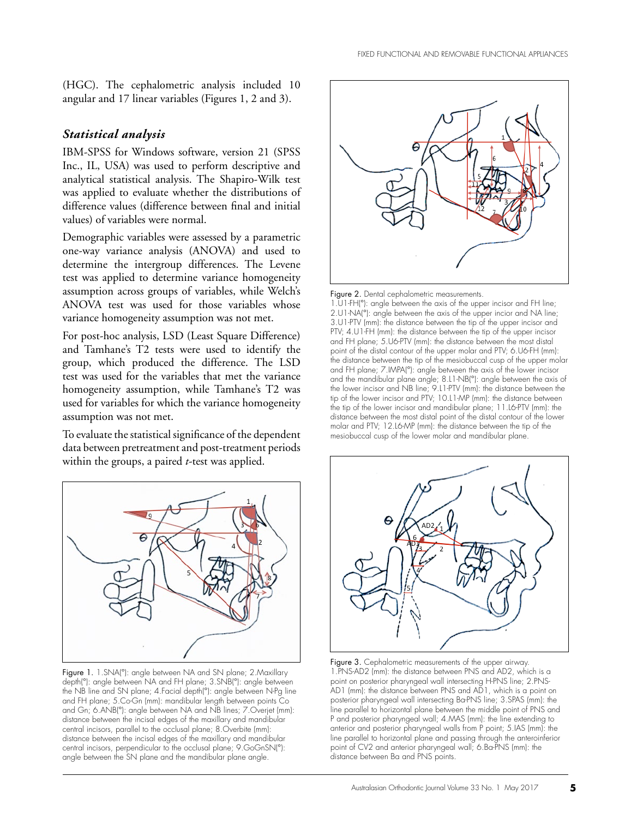(HGC). The cephalometric analysis included 10 angular and 17 linear variables (Figures 1, 2 and 3).

#### *Statistical analysis*

IBM-SPSS for Windows software, version 21 (SPSS Inc., IL, USA) was used to perform descriptive and analytical statistical analysis. The Shapiro-Wilk test was applied to evaluate whether the distributions of difference values (difference between final and initial values) of variables were normal.

Demographic variables were assessed by a parametric one-way variance analysis (ANOVA) and used to determine the intergroup differences. The Levene test was applied to determine variance homogeneity assumption across groups of variables, while Welch's ANOVA test was used for those variables whose variance homogeneity assumption was not met.

For post-hoc analysis, LSD (Least Square Difference) and Tamhane's T2 tests were used to identify the group, which produced the difference. The LSD test was used for the variables that met the variance homogeneity assumption, while Tamhane's T2 was used for variables for which the variance homogeneity assumption was not met.

To evaluate the statistical significance of the dependent data between pretreatment and post-treatment periods within the groups, a paired *t-*test was applied.



Figure 1. 1.SNA(°): angle between NA and SN plane; 2.Maxillary depth(°): angle between NA and FH plane; 3.SNB(°): angle between the NB line and SN plane; 4.Facial depth(°): angle between N-Pg line and FH plane; 5.Co-Gn (mm): mandibular length between points Co and Gn; 6.ANB(°): angle between NA and NB lines; 7.Overjet (mm): distance between the incisal edges of the maxillary and mandibular central incisors, parallel to the occlusal plane; 8. Overbite (mm): distance between the incisal edges of the maxillary and mandibular central incisors, perpendicular to the occlusal plane; 9.GoGnSN(°): angle between the SN plane and the mandibular plane angle.



Figure 2. Dental cephalometric measurements.

1.U1-FH(°): angle between the axis of the upper incisor and FH line; 2.U1-NA(°): angle between the axis of the upper incior and NA line; 3.U1-PTV (mm): the distance between the tip of the upper incisor and PTV; 4.U1-FH (mm): the distance between the tip of the upper incisor and FH plane; 5.U6-PTV (mm): the distance between the most distal point of the distal contour of the upper molar and PTV; 6.U6-FH (mm): the distance between the tip of the mesiobuccal cusp of the upper molar and FH plane; 7.IMPA(°): angle between the axis of the lower incisor and the mandibular plane angle; 8.L1-NB(°): angle between the axis of the lower incisor and NB line; 9.L1-PTV (mm): the distance between the tip of the lower incisor and PTV; 10.L1-MP (mm): the distance between the tip of the lower incisor and mandibular plane; 11.L6-PTV (mm): the distance between the most distal point of the distal contour of the lower molar and PTV; 12.L6-MP (mm): the distance between the tip of the mesiobuccal cusp of the lower molar and mandibular plane.



Figure 3. Cephalometric measurements of the upper airway. 1.PNS-AD2 (mm): the distance between PNS and AD2, which is a point on posterior pharyngeal wall intersecting H-PNS line; 2.PNS-AD1 (mm): the distance between PNS and AD1, which is a point on posterior pharyngeal wall intersecting Ba-PNS line; 3.SPAS (mm): the line parallel to horizontal plane between the middle point of PNS and P and posterior pharyngeal wall; 4.MAS (mm): the line extending to anterior and posterior pharyngeal walls from P point; 5.IAS (mm): the line parallel to horizontal plane and passing through the anteroinferior point of CV2 and anterior pharyngeal wall; 6.Ba-PNS (mm): the distance between Ba and PNS points.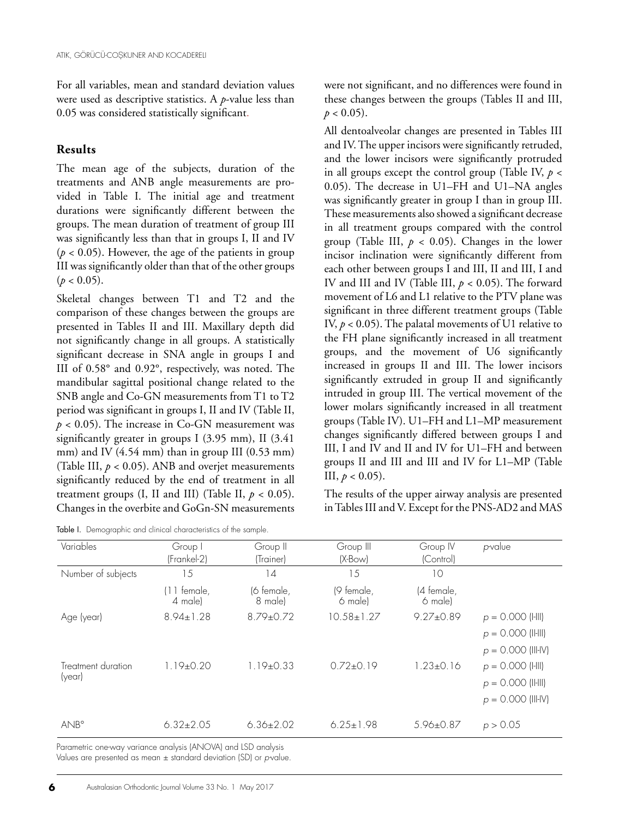For all variables, mean and standard deviation values were used as descriptive statistics. A *p*-value less than 0.05 was considered statistically significant.

#### **Results**

The mean age of the subjects, duration of the treatments and ANB angle measurements are provided in Table I. The initial age and treatment durations were significantly different between the groups. The mean duration of treatment of group III was significantly less than that in groups I, II and IV  $(p < 0.05)$ . However, the age of the patients in group III was significantly older than that of the other groups  $(p < 0.05)$ .

Skeletal changes between T1 and T2 and the comparison of these changes between the groups are presented in Tables II and III. Maxillary depth did not significantly change in all groups. A statistically significant decrease in SNA angle in groups I and III of 0.58° and 0.92°, respectively, was noted. The mandibular sagittal positional change related to the SNB angle and Co-GN measurements from T1 to T2 period was significant in groups I, II and IV (Table II,  $p < 0.05$ ). The increase in Co-GN measurement was significantly greater in groups I (3.95 mm), II (3.41 mm) and IV (4.54 mm) than in group III (0.53 mm) (Table III,  $p < 0.05$ ). ANB and overjet measurements significantly reduced by the end of treatment in all treatment groups (I, II and III) (Table II,  $p < 0.05$ ). Changes in the overbite and GoGn-SN measurements

|  | Table I. Demographic and clinical characteristics of the sample. |  |  |  |  |
|--|------------------------------------------------------------------|--|--|--|--|
|--|------------------------------------------------------------------|--|--|--|--|

were not significant, and no differences were found in these changes between the groups (Tables II and III,  $p < 0.05$ ).

All dentoalveolar changes are presented in Tables III and IV. The upper incisors were significantly retruded, and the lower incisors were significantly protruded in all groups except the control group (Table IV, *p* < 0.05). The decrease in U1–FH and U1–NA angles was significantly greater in group I than in group III. These measurements also showed a significant decrease in all treatment groups compared with the control group (Table III,  $p < 0.05$ ). Changes in the lower incisor inclination were significantly different from each other between groups I and III, II and III, I and IV and III and IV (Table III, *p* < 0.05). The forward movement of L6 and L1 relative to the PTV plane was significant in three different treatment groups (Table IV,  $p < 0.05$ ). The palatal movements of U1 relative to the FH plane significantly increased in all treatment groups, and the movement of U6 significantly increased in groups II and III. The lower incisors significantly extruded in group II and significantly intruded in group III. The vertical movement of the lower molars significantly increased in all treatment groups (Table IV). U1–FH and L1–MP measurement changes significantly differed between groups I and III, I and IV and II and IV for U1–FH and between groups II and III and III and IV for L1–MP (Table III,  $p < 0.05$ ).

The results of the upper airway analysis are presented in Tables III and V. Except for the PNS-AD2 and MAS

| Variables                    | Group I<br>(Frankel-2)   | Group II<br>(Trainer) | Group III<br>$(X-Bow)$ | Group IV<br>(Control) | p-value                                                             |
|------------------------------|--------------------------|-----------------------|------------------------|-----------------------|---------------------------------------------------------------------|
| Number of subjects           | 15                       | 14                    | 15                     | 10                    |                                                                     |
|                              | $(11$ female,<br>4 male) | (6 female,<br>8 male) | (9 female,<br>6 male)  | (4 female,<br>6 male) |                                                                     |
| Age (year)                   | $8.94 \pm 1.28$          | $8.79 + 0.72$         | $10.58 \pm 1.27$       | $9.27 + 0.89$         | $p = 0.000$ (I-III)<br>$p = 0.000$ (II-III)<br>$p = 0.000$ (III-IV) |
| Treatment duration<br>(year) | $1.19 \pm 0.20$          | $1.19 \pm 0.33$       | $0.72{\pm}0.19$        | $1.23 \pm 0.16$       | $p = 0.000$ (HII)<br>$p = 0.000$ (II-III)<br>$p = 0.000$ (III-IV)   |
| ANB°                         | $6.32 \pm 2.05$          | $6.36 \pm 2.02$       | $6.25 \pm 1.98$        | $5.96 \pm 0.87$       | p > 0.05                                                            |

Parametric one-way variance analysis (ANOVA) and LSD analysis Values are presented as mean ± standard deviation (SD) or *p-*value.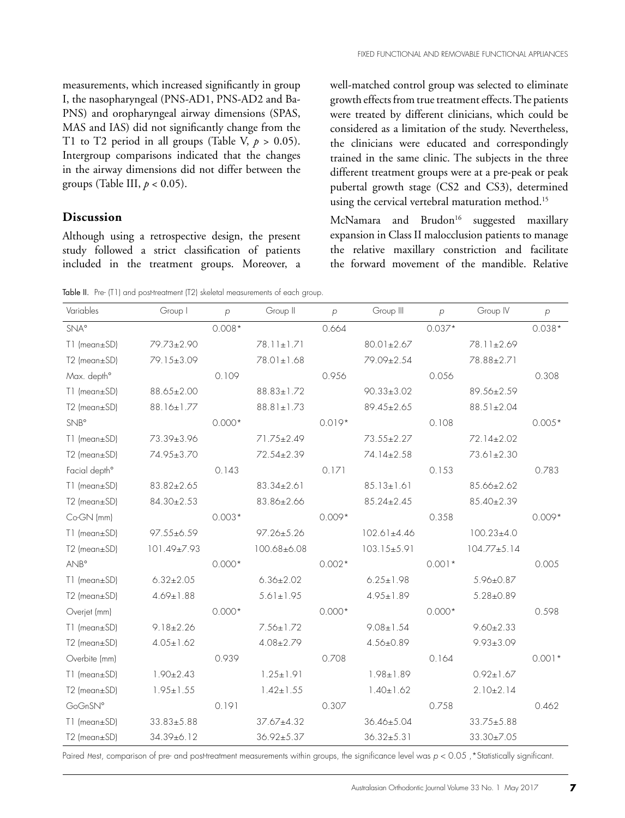measurements, which increased significantly in group I, the nasopharyngeal (PNS-AD1, PNS-AD2 and Ba-PNS) and oropharyngeal airway dimensions (SPAS, MAS and IAS) did not significantly change from the T1 to T2 period in all groups (Table V,  $p > 0.05$ ). Intergroup comparisons indicated that the changes in the airway dimensions did not differ between the groups (Table III, *p* < 0.05).

### **Discussion**

Although using a retrospective design, the present study followed a strict classification of patients included in the treatment groups. Moreover, a

well-matched control group was selected to eliminate growth effects from true treatment effects. The patients were treated by different clinicians, which could be considered as a limitation of the study. Nevertheless, the clinicians were educated and correspondingly trained in the same clinic. The subjects in the three different treatment groups were at a pre-peak or peak pubertal growth stage (CS2 and CS3), determined using the cervical vertebral maturation method.<sup>15</sup>

McNamara and Brudon<sup>16</sup> suggested maxillary expansion in Class II malocclusion patients to manage the relative maxillary constriction and facilitate the forward movement of the mandible. Relative

Table II. Pre- (T1) and post-treatment (T2) skeletal measurements of each group.

| Variables                 | Group I          | $\overline{p}$ | Group II         | $\overline{p}$ | Group III         | $\overline{p}$ | Group IV          | $\overline{p}$ |
|---------------------------|------------------|----------------|------------------|----------------|-------------------|----------------|-------------------|----------------|
| <b>SNA°</b>               |                  | $0.008*$       |                  | 0.664          |                   | $0.037*$       |                   | $0.038*$       |
| T1 (mean±SD)              | 79.73±2.90       |                | 78.11±1.71       |                | 80.01±2.67        |                | 78.11±2.69        |                |
| T2 (mean±SD)              | 79.15±3.09       |                | 78.01±1.68       |                | 79.09±2.54        |                | 78.88±2.71        |                |
| Max. depth <sup>o</sup>   |                  | 0.109          |                  | 0.956          |                   | 0.056          |                   | 0.308          |
| T1 (mean±SD)              | 88.65±2.00       |                | $88.83 \pm 1.72$ |                | $90.33 \pm 3.02$  |                | 89.56±2.59        |                |
| $T2$ (mean $\pm$ SD)      | 88.16±1.77       |                | $88.81 \pm 1.73$ |                | 89.45±2.65        |                | $88.51 \pm 2.04$  |                |
| $SNB^{\circ}$             |                  | $0.000*$       |                  | $0.019*$       |                   | 0.108          |                   | $0.005*$       |
| $T1$ (mean $\pm$ SD)      | 73.39±3.96       |                | 71.75±2.49       |                | $73.55 \pm 2.27$  |                | 72.14±2.02        |                |
| T2 (mean±SD)              | 74.95±3.70       |                | 72.54±2.39       |                | 74.14±2.58        |                | 73.61±2.30        |                |
| Facial depth <sup>o</sup> |                  | 0.143          |                  | 0.171          |                   | 0.153          |                   | 0.783          |
| $T1$ (mean $\pm$ SD)      | $83.82 \pm 2.65$ |                | $83.34 \pm 2.61$ |                | $85.13 \pm 1.61$  |                | 85.66±2.62        |                |
| T2 (mean±SD)              | $84.30 \pm 2.53$ |                | 83.86±2.66       |                | $85.24 \pm 2.45$  |                | 85.40±2.39        |                |
| Co-GN (mm)                |                  | $0.003*$       |                  | $0.009*$       |                   | 0.358          |                   | $0.009*$       |
| $T1$ (mean $\pm$ SD)      | $97.55 \pm 6.59$ |                | $97.26 \pm 5.26$ |                | $102.61 \pm 4.46$ |                | $100.23 \pm 4.0$  |                |
| T2 (mean±SD)              | 101.49±7.93      |                | 100.68±6.08      |                | $103.15 \pm 5.91$ |                | $104.77 \pm 5.14$ |                |
| <b>ANB</b> °              |                  | $0.000*$       |                  | $0.002*$       |                   | $0.001*$       |                   | 0.005          |
| T1 (mean±SD)              | $6.32 \pm 2.05$  |                | $6.36 \pm 2.02$  |                | $6.25 \pm 1.98$   |                | 5.96±0.87         |                |
| $T2$ (mean $\pm$ SD)      | $4.69 \pm 1.88$  |                | $5.61 \pm 1.95$  |                | $4.95 \pm 1.89$   |                | $5.28 \pm 0.89$   |                |
| Overjet (mm)              |                  | $0.000*$       |                  | $0.000*$       |                   | $0.000*$       |                   | 0.598          |
| T1 (mean±SD)              | $9.18 \pm 2.26$  |                | $7.56 \pm 1.72$  |                | $9.08 \pm 1.54$   |                | $9.60 \pm 2.33$   |                |
| T2 (mean±SD)              | $4.05 \pm 1.62$  |                | $4.08 \pm 2.79$  |                | $4.56 \pm 0.89$   |                | $9.93 \pm 3.09$   |                |
| Overbite (mm)             |                  | 0.939          |                  | 0.708          |                   | 0.164          |                   | $0.001*$       |
| $T1$ (mean $\pm$ SD)      | $1.90 \pm 2.43$  |                | $1.25 \pm 1.91$  |                | $1.98 \pm 1.89$   |                | $0.92 \pm 1.67$   |                |
| $T2$ (mean $\pm$ SD)      | $1.95 \pm 1.55$  |                | $1.42 \pm 1.55$  |                | $1.40 \pm 1.62$   |                | $2.10 \pm 2.14$   |                |
| GoGnSN°                   |                  | 0.191          |                  | 0.307          |                   | 0.758          |                   | 0.462          |
| $T1$ (mean $\pm$ SD)      | $33.83 \pm 5.88$ |                | $37.67 \pm 4.32$ |                | $36.46 \pm 5.04$  |                | $33.75 \pm 5.88$  |                |
| $T2$ (mean $\pm$ SD)      | 34.39±6.12       |                | 36.92±5.37       |                | $36.32 \pm 5.31$  |                | 33.30±7.05        |                |

Paired Hest, comparison of pre- and post-treatment measurements within groups, the significance level was  $p < 0.05$ , \*Statistically significant.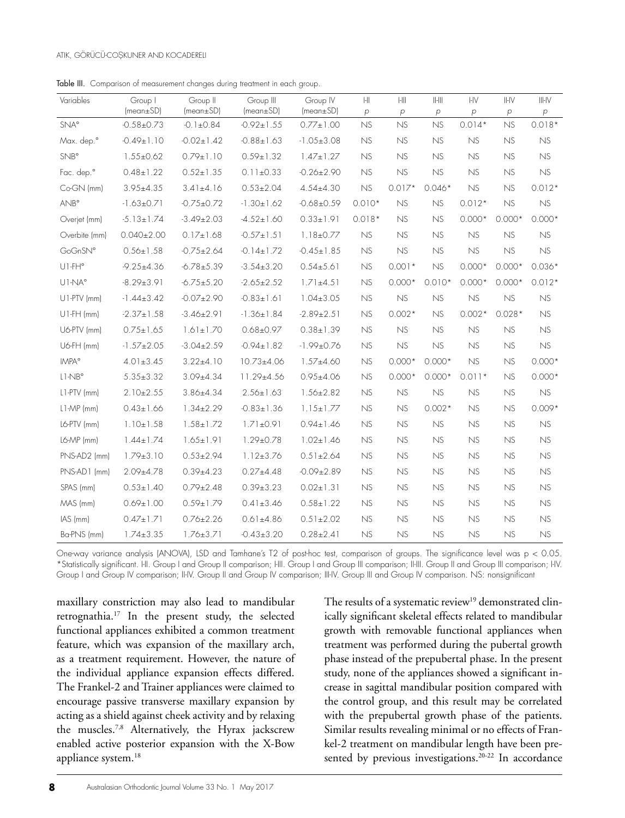#### ATIK, GÖRÜCÜ-COŞKUNER AND KOCADERELI

Table III. Comparison of measurement changes during treatment in each group.

| Variables      | Group I<br>(mean ± SD) | Group II<br>(mean ± SD) | Group III<br>(mean ± SD) | Group IV<br>(mean ± SD) | $\left\vert \cdot \right\vert \right\vert$<br>$\overline{P}$ | $\left\  \cdot \right\ $<br>$\overline{p}$ | $  -   $<br>$\,p\,$ | $H_V$<br>$\rho$ | $  -  \sqrt{}$<br>$\overline{P}$ | $III - IV$<br>$\rho$ |
|----------------|------------------------|-------------------------|--------------------------|-------------------------|--------------------------------------------------------------|--------------------------------------------|---------------------|-----------------|----------------------------------|----------------------|
| <b>SNA°</b>    | $-0.58 \pm 0.73$       | $-0.1 \pm 0.84$         | $-0.92 \pm 1.55$         | $0.77 \pm 1.00$         | NS                                                           | NS                                         | NS                  | $0.014*$        | NS                               | $0.018*$             |
| Max. dep.º     | $-0.49 \pm 1.10$       | $-0.02 \pm 1.42$        | $-0.88 \pm 1.63$         | $-1.05 \pm 3.08$        | NS                                                           | NS                                         | NS                  | NS              | <b>NS</b>                        | NS                   |
| <b>SNB</b> °   | $1.55 \pm 0.62$        | $0.79 \pm 1.10$         | $0.59 \pm 1.32$          | $1.47 \pm 1.27$         | NS                                                           | NS                                         | NS                  | NS              | NS                               | NS                   |
| Fac. dep.º     | $0.48 \pm 1.22$        | $0.52 \pm 1.35$         | $0.11 \pm 0.33$          | $-0.26 \pm 2.90$        | NS                                                           | NS                                         | <b>NS</b>           | <b>NS</b>       | NS                               | NS                   |
| Co-GN (mm)     | $3.95 \pm 4.35$        | $3.41 \pm 4.16$         | $0.53 \pm 2.04$          | $4.54 \pm 4.30$         | NS                                                           | $0.017*$                                   | $0.046*$            | NS              | <b>NS</b>                        | $0.012*$             |
| $ANB^{\circ}$  | $-1.63 \pm 0.71$       | $-0.75 \pm 0.72$        | $-1.30 \pm 1.62$         | $-0.68 + 0.59$          | $0.010*$                                                     | <b>NS</b>                                  | NS                  | $0.012*$        | NS                               | NS                   |
| Overjet (mm)   | $-5.13 \pm 1.74$       | $-3.49 \pm 2.03$        | $-4.52 \pm 1.60$         | $0.33 \pm 1.91$         | $0.018*$                                                     | NS                                         | NS                  | $0.000*$        | $0.000*$                         | $0.000*$             |
| Overbite (mm)  | $0.040 \pm 2.00$       | $0.17 \pm 1.68$         | $-0.57 \pm 1.51$         | $1.18 \pm 0.77$         | NS                                                           | NS                                         | NS                  | NS              | NS                               | NS                   |
| GoGnSN°        | $0.56 \pm 1.58$        | $-0.75 \pm 2.64$        | $-0.14 \pm 1.72$         | $-0.45 \pm 1.85$        | NS                                                           | NS                                         | <b>NS</b>           | NS              | NS                               | NS                   |
| U1-FH°         | $-9.25 \pm 4.36$       | $-6.78 \pm 5.39$        | $-3.54 \pm 3.20$         | $0.54 \pm 5.61$         | NS                                                           | $0.001*$                                   | NS                  | $0.000*$        | $0.000*$                         | $0.036*$             |
| UI-NA°         | $-8.29 \pm 3.91$       | $-6.75 \pm 5.20$        | $-2.65 \pm 2.52$         | $1.71 \pm 4.51$         | NS                                                           | $0.000*$                                   | $0.010*$            | $0.000*$        | $0.000*$                         | $0.012*$             |
| U1-PTV (mm)    | $-1.44 \pm 3.42$       | $-0.07 + 2.90$          | $-0.83 \pm 1.61$         | $1.04 \pm 3.05$         | NS                                                           | NS                                         | NS                  | NS              | NS                               | NS                   |
| $U1-FH$ (mm)   | $-2.37 \pm 1.58$       | $-3.46 \pm 2.91$        | $-1.36 \pm 1.84$         | $-2.89 \pm 2.51$        | NS                                                           | $0.002*$                                   | NS                  | $0.002*$        | $0.028*$                         | NS                   |
| U6-PTV (mm)    | $0.75 \pm 1.65$        | $1.61 \pm 1.70$         | $0.68 \pm 0.97$          | $0.38 \pm 1.39$         | NS                                                           | NS                                         | <b>NS</b>           | NS              | <b>NS</b>                        | NS                   |
| U6-FH (mm)     | $-1.57 \pm 2.05$       | $-3.04 \pm 2.59$        | $-0.94 \pm 1.82$         | $-1.99 \pm 0.76$        | NS                                                           | NS                                         | NS                  | NS              | NS                               | NS                   |
| <b>IMPA</b> °  | $4.01 \pm 3.45$        | $3.22 \pm 4.10$         | $10.73{\pm}4.06$         | $1.57 + 4.60$           | NS                                                           | $0.000*$                                   | $0.000*$            | NS              | <b>NS</b>                        | $0.000*$             |
| $L1-NBo$       | $5.35 \pm 3.32$        | $3.09 \pm 4.34$         | 11.29±4.56               | $0.95 \pm 4.06$         | NS                                                           | $0.000*$                                   | $0.000*$            | $0.011*$        | NS                               | $0.000*$             |
| $L1$ -PTV (mm) | $2.10 \pm 2.55$        | $3.86 \pm 4.34$         | $2.56 \pm 1.63$          | $1.56 \pm 2.82$         | NS                                                           | NS.                                        | NS                  | NS              | NS                               | NS                   |
| L1-MP (mm)     | $0.43 \pm 1.66$        | $1.34 \pm 2.29$         | $-0.83 \pm 1.36$         | $1.15 \pm 1.77$         | <b>NS</b>                                                    | NS                                         | $0.002*$            | NS              | NS                               | $0.009*$             |
| L6-PTV (mm)    | $1.10 \pm 1.58$        | $1.58 \pm 1.72$         | $1.71 \pm 0.91$          | $0.94 \pm 1.46$         | <b>NS</b>                                                    | <b>NS</b>                                  | NS                  | NS              | NS                               | NS                   |
| L6-MP (mm)     | $1.44 \pm 1.74$        | $1.65 \pm 1.91$         | $1.29 \pm 0.78$          | $1.02 \pm 1.46$         | NS                                                           | NS                                         | NS                  | NS              | NS                               | NS                   |
| PNS-AD2 (mm)   | $1.79 \pm 3.10$        | $0.53 \pm 2.94$         | $1.12 \pm 3.76$          | $0.51 \pm 2.64$         | <b>NS</b>                                                    | NS                                         | NS                  | NS              | NS                               | ${\sf NS}$           |
| PNS-AD1 (mm)   | $2.09 \pm 4.78$        | $0.39{\pm}4.23$         | $0.27 \pm 4.48$          | $-0.09 \pm 2.89$        | NS                                                           | NS                                         | NS                  | NS              | NS                               | NS                   |
| SPAS (mm)      | $0.53 \pm 1.40$        | $0.79 \pm 2.48$         | $0.39 \pm 3.23$          | $0.02 \pm 1.31$         | <b>NS</b>                                                    | NS                                         | NS                  | NS              | NS                               | NS.                  |
| MAS (mm)       | $0.69 \pm 1.00$        | $0.59 \pm 1.79$         | $0.41 \pm 3.46$          | $0.58 \pm 1.22$         | <b>NS</b>                                                    | NS                                         | NS                  | NS              | NS                               | NS                   |
| IAS (mm)       | $0.47 \pm 1.71$        | $0.76 \pm 2.26$         | $0.61 \pm 4.86$          | $0.51 \pm 2.02$         | NS                                                           | NS                                         | NS                  | NS              | <b>NS</b>                        | NS                   |
| Ba-PNS (mm)    | $1.74 \pm 3.35$        | $1.76 \pm 3.71$         | $-0.43 \pm 3.20$         | $0.28 \pm 2.41$         | NS                                                           | NS                                         | NS                  | NS              | NS                               | <b>NS</b>            |

One-way variance analysis (ANOVA), LSD and Tamhane's T2 of post-hoc test, comparison of groups. The significance level was p < 0.05. \*Statistically significant. HI. Group I and Group II comparison; HII. Group I and Group III comparison; IHII. Group II and Group III comparison; HV. Group I and Group IV comparison; II-IV. Group II and Group IV comparison; III-IV. Group III and Group IV comparison. NS: nonsignificant

maxillary constriction may also lead to mandibular retrognathia.17 In the present study, the selected functional appliances exhibited a common treatment feature, which was expansion of the maxillary arch, as a treatment requirement. However, the nature of the individual appliance expansion effects differed. The Frankel-2 and Trainer appliances were claimed to encourage passive transverse maxillary expansion by acting as a shield against cheek activity and by relaxing the muscles.7,8 Alternatively, the Hyrax jackscrew enabled active posterior expansion with the X-Bow appliance system.<sup>18</sup>

The results of a systematic review<sup>19</sup> demonstrated clinically significant skeletal effects related to mandibular growth with removable functional appliances when treatment was performed during the pubertal growth phase instead of the prepubertal phase. In the present study, none of the appliances showed a significant increase in sagittal mandibular position compared with the control group, and this result may be correlated with the prepubertal growth phase of the patients. Similar results revealing minimal or no effects of Frankel-2 treatment on mandibular length have been presented by previous investigations.<sup>20-22</sup> In accordance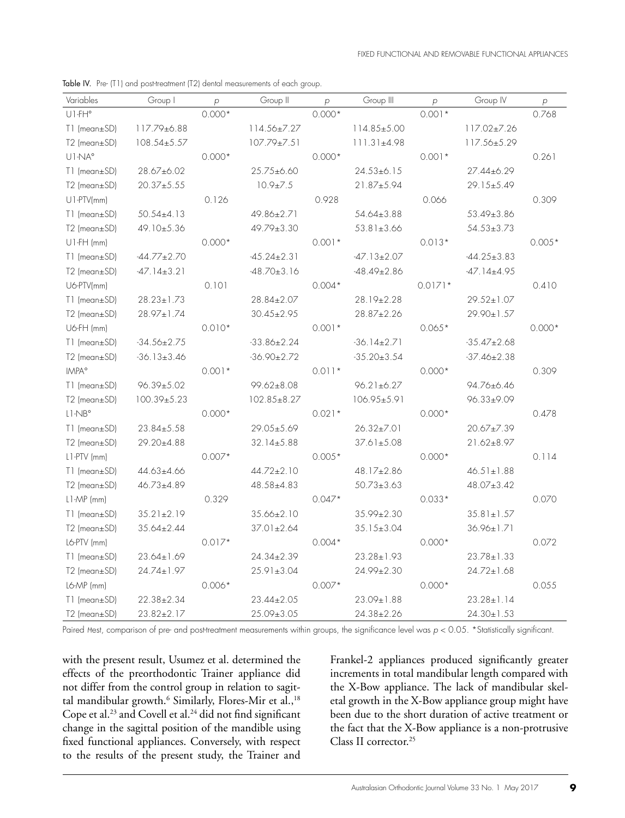| Variables                                     | Group I           | $\overline{p}$ | Group II          | $\overline{p}$ | Group III         | $\overline{p}$ | Group IV          | $\,p\,$  |
|-----------------------------------------------|-------------------|----------------|-------------------|----------------|-------------------|----------------|-------------------|----------|
| $UI-FH°$                                      |                   | $0.000*$       |                   | $0.000*$       |                   | $0.001*$       |                   | 0.768    |
| T1 (mean±SD)                                  | 117.79±6.88       |                | 114.56±7.27       |                | 114.85±5.00       |                | 117.02±7.26       |          |
| T2 (mean±SD)                                  | $108.54 \pm 5.57$ |                | 107.79±7.51       |                | 111.31±4.98       |                | 117.56±5.29       |          |
| UI-NA°                                        |                   | $0.000*$       |                   | $0.000*$       |                   | $0.001*$       |                   | 0.261    |
| T1 (mean±SD)                                  | 28.67±6.02        |                | 25.75±6.60        |                | $24.53 \pm 6.15$  |                | 27.44±6.29        |          |
| T2 (mean±SD)                                  | $20.37 \pm 5.55$  |                | $10.9 \pm 7.5$    |                | 21.87±5.94        |                | 29.15±5.49        |          |
| $UI-PTV/mm$                                   |                   | 0.126          |                   | 0.928          |                   | 0.066          |                   | 0.309    |
| T1 (mean±SD)                                  | $50.54 \pm 4.13$  |                | 49.86±2.71        |                | 54.64±3.88        |                | 53.49±3.86        |          |
| T2 (mean±SD)                                  | 49.10±5.36        |                | 49.79±3.30        |                | $53.81 \pm 3.66$  |                | $54.53 \pm 3.73$  |          |
| U1-FH (mm)                                    |                   | $0.000*$       |                   | $0.001*$       |                   | $0.013*$       |                   | $0.005*$ |
| T1 (mean±SD)                                  | $-44.77 \pm 2.70$ |                | $-45.24 \pm 2.31$ |                | $-47.13 \pm 2.07$ |                | $-44.25 \pm 3.83$ |          |
| T2 (mean±SD)                                  | $-47.14 \pm 3.21$ |                | $-48.70 \pm 3.16$ |                | $-48.49 \pm 2.86$ |                | -47.14±4.95       |          |
| U6-PTV(mm)                                    |                   | 0.101          |                   | $0.004*$       |                   | $0.0171*$      |                   | 0.410    |
| T1 (mean±SD)                                  | $28.23 \pm 1.73$  |                | 28.84±2.07        |                | 28.19±2.28        |                | $29.52 \pm 1.07$  |          |
| T2 (mean±SD)                                  | $28.97 \pm 1.74$  |                | $30.45 \pm 2.95$  |                | 28.87±2.26        |                | 29.90±1.57        |          |
| U6-FH (mm)                                    |                   | $0.010*$       |                   | $0.001*$       |                   | $0.065*$       |                   | $0.000*$ |
| $T1$ (mean $\pm$ SD)                          | $-34.56 \pm 2.75$ |                | $-33.86 \pm 2.24$ |                | $-36.14 \pm 2.71$ |                | $-35.47 \pm 2.68$ |          |
| T2 (mean±SD)                                  | $-36.13 \pm 3.46$ |                | $-36.90 \pm 2.72$ |                | $-35.20 \pm 3.54$ |                | $-37.46 \pm 2.38$ |          |
| <b>IMPA</b> °                                 |                   | $0.001*$       |                   | $0.011*$       |                   | $0.000*$       |                   | 0.309    |
| T1 (mean±SD)                                  | $96.39 \pm 5.02$  |                | $99.62 \pm 8.08$  |                | $96.21 \pm 6.27$  |                | 94.76±6.46        |          |
| T2 (mean±SD)                                  | $100.39 \pm 5.23$ |                | $102.85 \pm 8.27$ |                | 106.95±5.91       |                | $96.33 \pm 9.09$  |          |
| $\mathsf{L}1\text{-}\mathsf{NB}^{\mathsf{o}}$ |                   | $0.000*$       |                   | $0.021*$       |                   | $0.000*$       |                   | 0.478    |
| T1 (mean±SD)                                  | $23.84 \pm 5.58$  |                | 29.05±5.69        |                | $26.32 \pm 7.01$  |                | 20.67±7.39        |          |
| T2 (mean±SD)                                  | 29.20±4.88        |                | $32.14 \pm 5.88$  |                | $37.61 \pm 5.08$  |                | 21.62±8.97        |          |
| L1-PTV (mm)                                   |                   | $0.007*$       |                   | $0.005*$       |                   | $0.000*$       |                   | 0.114    |
| T1 (mean±SD)                                  | 44.63±4.66        |                | 44.72±2.10        |                | 48.17±2.86        |                | $46.51 \pm 1.88$  |          |
| T2 (mean±SD)                                  | 46.73±4.89        |                | 48.58±4.83        |                | $50.73 \pm 3.63$  |                | $48.07 \pm 3.42$  |          |
| $L1-MP$ (mm)                                  |                   | 0.329          |                   | $0.047*$       |                   | $0.033*$       |                   | 0.070    |
| T1 (mean±SD)                                  | $35.21 \pm 2.19$  |                | 35.66±2.10        |                | 35.99±2.30        |                | $35.81 \pm 1.57$  |          |
| T2 (mean±SD)                                  | $35.64 \pm 2.44$  |                | 37.01±2.64        |                | $35.15 \pm 3.04$  |                | 36.96±1.71        |          |
| L6-PTV (mm)                                   |                   | $0.017*$       |                   | $0.004*$       |                   | $0.000*$       |                   | 0.072    |
| T1 (mean±SD)                                  | $23.64 \pm 1.69$  |                | $24.34 \pm 2.39$  |                | $23.28 \pm 1.93$  |                | $23.78 \pm 1.33$  |          |
| T2 (mean±SD)                                  | 24.74±1.97        |                | $25.91 \pm 3.04$  |                | 24.99±2.30        |                | $24.72 \pm 1.68$  |          |
| L6-MP (mm)                                    |                   | $0.006*$       |                   | $0.007*$       |                   | $0.000*$       |                   | 0.055    |
| T1 (mean±SD)                                  | $22.38 \pm 2.34$  |                | $23.44 \pm 2.05$  |                | $23.09 \pm 1.88$  |                | $23.28 \pm 1.14$  |          |
| $T2$ (mean $\pm$ SD)                          | 23.82±2.17        |                | $25.09 \pm 3.05$  |                | 24.38±2.26        |                | $24.30 \pm 1.53$  |          |

Table IV. Pre- (T1) and post-treatment (T2) dental measurements of each group.

Paired *Hest, comparison of pre- and post-treatment measurements within groups, the significance level was*  $p < 0.05$ *. \*Statistically significant.* 

with the present result, Usumez et al. determined the effects of the preorthodontic Trainer appliance did not differ from the control group in relation to sagittal mandibular growth.<sup>6</sup> Similarly, Flores-Mir et al.,<sup>18</sup> Cope et al.<sup>23</sup> and Covell et al.<sup>24</sup> did not find significant change in the sagittal position of the mandible using fixed functional appliances. Conversely, with respect to the results of the present study, the Trainer and

Frankel-2 appliances produced significantly greater increments in total mandibular length compared with the X-Bow appliance. The lack of mandibular skeletal growth in the X-Bow appliance group might have been due to the short duration of active treatment or the fact that the X-Bow appliance is a non-protrusive Class II corrector.<sup>25</sup>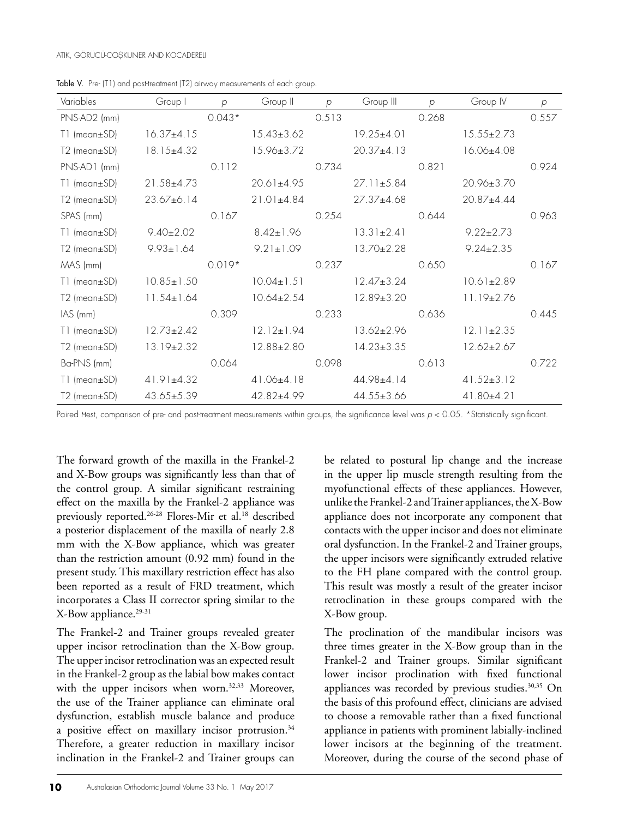| Variables            | Group I          | $\mathcal{D}$ | Group II         | $\mathcal{D}$ | Group III        | $\mathcal{D}$ | Group IV         | p     |
|----------------------|------------------|---------------|------------------|---------------|------------------|---------------|------------------|-------|
| PNS-AD2 (mm)         |                  | $0.043*$      |                  | 0.513         |                  | 0.268         |                  | 0.557 |
| $T1$ (mean $\pm$ SD) | $16.37{\pm}4.15$ |               | $15.43 \pm 3.62$ |               | $19.25 \pm 4.01$ |               | $15.55 \pm 2.73$ |       |
| T2 (mean±SD)         | $18.15 \pm 4.32$ |               | 15.96±3.72       |               | $20.37+4.13$     |               | 16.06±4.08       |       |
| PNS-AD1 (mm)         |                  | 0.112         |                  | 0.734         |                  | 0.821         |                  | 0.924 |
| $T1$ (mean $\pm$ SD) | $21.58 \pm 4.73$ |               | $20.61 \pm 4.95$ |               | $27.11 \pm 5.84$ |               | $20.96 \pm 3.70$ |       |
| $T2$ (mean $\pm$ SD) | 23.67±6.14       |               | $21.01 \pm 4.84$ |               | $27.37 \pm 4.68$ |               | 20.87±4.44       |       |
| SPAS (mm)            |                  | 0.167         |                  | 0.254         |                  | 0.644         |                  | 0.963 |
| $T1$ (mean $\pm$ SD) | $9.40 \pm 2.02$  |               | $8.42 \pm 1.96$  |               | $13.31 \pm 2.41$ |               | $9.22 \pm 2.73$  |       |
| $T2$ (mean $\pm$ SD) | $9.93 \pm 1.64$  |               | $9.21 \pm 1.09$  |               | 13.70±2.28       |               | $9.24 \pm 2.35$  |       |
| MAS (mm)             |                  | $0.019*$      |                  | 0.237         |                  | 0.650         |                  | 0.167 |
| $T1$ (mean $\pm$ SD) | $10.85 \pm 1.50$ |               | $10.04 \pm 1.51$ |               | $12.47 \pm 3.24$ |               | $10.61 \pm 2.89$ |       |
| $T2$ (mean $\pm$ SD) | $11.54 \pm 1.64$ |               | $10.64 \pm 2.54$ |               | 12.89±3.20       |               | $11.19\pm2.76$   |       |
| $IAS$ (mm)           |                  | 0.309         |                  | 0.233         |                  | 0.636         |                  | 0.445 |
| T1 (mean±SD)         | $12.73 \pm 2.42$ |               | $12.12 \pm 1.94$ |               | $13.62 \pm 2.96$ |               | $12.11 \pm 2.35$ |       |
| $T2$ (mean $\pm$ SD) | $13.19 \pm 2.32$ |               | 12.88±2.80       |               | $14.23 \pm 3.35$ |               | $12.62 \pm 2.67$ |       |
| Ba-PNS (mm)          |                  | 0.064         |                  | 0.098         |                  | 0.613         |                  | 0.722 |
| $T1$ (mean $\pm$ SD) | $41.91 \pm 4.32$ |               | $41.06\pm4.18$   |               | $44.98 \pm 4.14$ |               | $41.52 \pm 3.12$ |       |
| $T2$ (mean $\pm$ SD) | $43.65 \pm 5.39$ |               | 42.82±4.99       |               | $44.55 \pm 3.66$ |               | $41.80 \pm 4.21$ |       |

Table V. Pre- (T1) and post-treatment (T2) airway measurements of each group.

Paired *Hest, comparison of pre- and post-treatment measurements within groups, the significance level was*  $p < 0.05$ *. \*Statistically significant.* 

The forward growth of the maxilla in the Frankel-2 and X-Bow groups was significantly less than that of the control group. A similar significant restraining effect on the maxilla by the Frankel-2 appliance was previously reported.<sup>26-28</sup> Flores-Mir et al.<sup>18</sup> described a posterior displacement of the maxilla of nearly 2.8 mm with the X-Bow appliance, which was greater than the restriction amount (0.92 mm) found in the present study. This maxillary restriction effect has also been reported as a result of FRD treatment, which incorporates a Class II corrector spring similar to the X-Bow appliance.<sup>29-31</sup>

The Frankel-2 and Trainer groups revealed greater upper incisor retroclination than the X-Bow group. The upper incisor retroclination was an expected result in the Frankel-2 group as the labial bow makes contact with the upper incisors when worn.<sup>32,33</sup> Moreover, the use of the Trainer appliance can eliminate oral dysfunction, establish muscle balance and produce a positive effect on maxillary incisor protrusion.<sup>34</sup> Therefore, a greater reduction in maxillary incisor inclination in the Frankel-2 and Trainer groups can

be related to postural lip change and the increase in the upper lip muscle strength resulting from the myofunctional effects of these appliances. However, unlike the Frankel-2 and Trainer appliances, the X-Bow appliance does not incorporate any component that contacts with the upper incisor and does not eliminate oral dysfunction. In the Frankel-2 and Trainer groups, the upper incisors were significantly extruded relative to the FH plane compared with the control group. This result was mostly a result of the greater incisor retroclination in these groups compared with the X-Bow group.

The proclination of the mandibular incisors was three times greater in the X-Bow group than in the Frankel-2 and Trainer groups. Similar significant lower incisor proclination with fixed functional appliances was recorded by previous studies.<sup>30,35</sup> On the basis of this profound effect, clinicians are advised to choose a removable rather than a fixed functional appliance in patients with prominent labially-inclined lower incisors at the beginning of the treatment. Moreover, during the course of the second phase of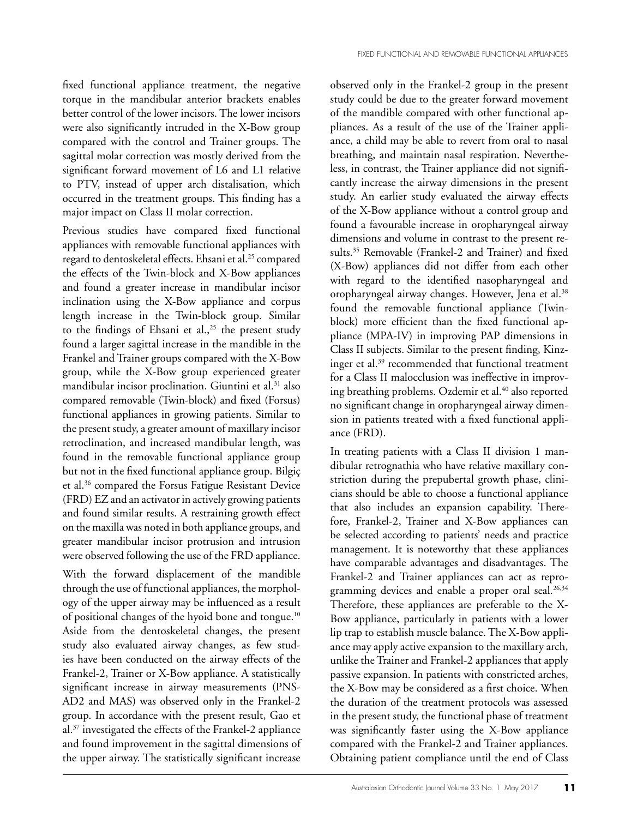fixed functional appliance treatment, the negative torque in the mandibular anterior brackets enables better control of the lower incisors. The lower incisors were also significantly intruded in the X-Bow group compared with the control and Trainer groups. The sagittal molar correction was mostly derived from the significant forward movement of L6 and L1 relative to PTV, instead of upper arch distalisation, which occurred in the treatment groups. This finding has a major impact on Class II molar correction.

Previous studies have compared fixed functional appliances with removable functional appliances with regard to dentoskeletal effects. Ehsani et al.<sup>25</sup> compared the effects of the Twin-block and X-Bow appliances and found a greater increase in mandibular incisor inclination using the X-Bow appliance and corpus length increase in the Twin-block group. Similar to the findings of Ehsani et al., $25$  the present study found a larger sagittal increase in the mandible in the Frankel and Trainer groups compared with the X-Bow group, while the X-Bow group experienced greater mandibular incisor proclination. Giuntini et al.<sup>31</sup> also compared removable (Twin-block) and fixed (Forsus) functional appliances in growing patients. Similar to the present study, a greater amount of maxillary incisor retroclination, and increased mandibular length, was found in the removable functional appliance group but not in the fixed functional appliance group. Bilgiç et al.36 compared the Forsus Fatigue Resistant Device (FRD) EZ and an activator in actively growing patients and found similar results. A restraining growth effect on the maxilla was noted in both appliance groups, and greater mandibular incisor protrusion and intrusion were observed following the use of the FRD appliance.

With the forward displacement of the mandible through the use of functional appliances, the morphology of the upper airway may be influenced as a result of positional changes of the hyoid bone and tongue.10 Aside from the dentoskeletal changes, the present study also evaluated airway changes, as few studies have been conducted on the airway effects of the Frankel-2, Trainer or X-Bow appliance. A statistically significant increase in airway measurements (PNS-AD2 and MAS) was observed only in the Frankel-2 group. In accordance with the present result, Gao et al.37 investigated the effects of the Frankel-2 appliance and found improvement in the sagittal dimensions of the upper airway. The statistically significant increase observed only in the Frankel-2 group in the present study could be due to the greater forward movement of the mandible compared with other functional appliances. As a result of the use of the Trainer appliance, a child may be able to revert from oral to nasal breathing, and maintain nasal respiration. Nevertheless, in contrast, the Trainer appliance did not significantly increase the airway dimensions in the present study. An earlier study evaluated the airway effects of the X-Bow appliance without a control group and found a favourable increase in oropharyngeal airway dimensions and volume in contrast to the present results.35 Removable (Frankel-2 and Trainer) and fixed (X-Bow) appliances did not differ from each other with regard to the identified nasopharyngeal and oropharyngeal airway changes. However, Jena et al.38 found the removable functional appliance (Twinblock) more efficient than the fixed functional appliance (MPA-IV) in improving PAP dimensions in Class II subjects. Similar to the present finding, Kinzinger et al.39 recommended that functional treatment for a Class II malocclusion was ineffective in improving breathing problems. Ozdemir et al.<sup>40</sup> also reported no significant change in oropharyngeal airway dimension in patients treated with a fixed functional appliance (FRD).

In treating patients with a Class II division 1 mandibular retrognathia who have relative maxillary constriction during the prepubertal growth phase, clinicians should be able to choose a functional appliance that also includes an expansion capability. Therefore, Frankel-2, Trainer and X-Bow appliances can be selected according to patients' needs and practice management. It is noteworthy that these appliances have comparable advantages and disadvantages. The Frankel-2 and Trainer appliances can act as reprogramming devices and enable a proper oral seal.<sup>26,34</sup> Therefore, these appliances are preferable to the X-Bow appliance, particularly in patients with a lower lip trap to establish muscle balance. The X-Bow appliance may apply active expansion to the maxillary arch, unlike the Trainer and Frankel-2 appliances that apply passive expansion. In patients with constricted arches, the X-Bow may be considered as a first choice. When the duration of the treatment protocols was assessed in the present study, the functional phase of treatment was significantly faster using the X-Bow appliance compared with the Frankel-2 and Trainer appliances. Obtaining patient compliance until the end of Class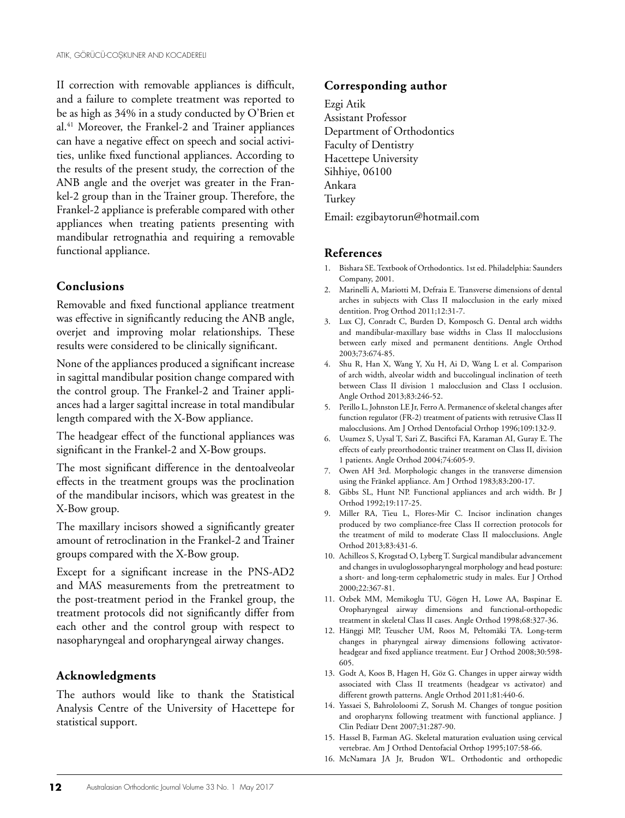II correction with removable appliances is difficult, and a failure to complete treatment was reported to be as high as 34% in a study conducted by O'Brien et al.41 Moreover, the Frankel-2 and Trainer appliances can have a negative effect on speech and social activities, unlike fixed functional appliances. According to the results of the present study, the correction of the ANB angle and the overjet was greater in the Frankel-2 group than in the Trainer group. Therefore, the Frankel-2 appliance is preferable compared with other appliances when treating patients presenting with mandibular retrognathia and requiring a removable functional appliance.

#### **Conclusions**

Removable and fixed functional appliance treatment was effective in significantly reducing the ANB angle, overjet and improving molar relationships. These results were considered to be clinically significant.

None of the appliances produced a significant increase in sagittal mandibular position change compared with the control group. The Frankel-2 and Trainer appliances had a larger sagittal increase in total mandibular length compared with the X-Bow appliance.

The headgear effect of the functional appliances was significant in the Frankel-2 and X-Bow groups.

The most significant difference in the dentoalveolar effects in the treatment groups was the proclination of the mandibular incisors, which was greatest in the X-Bow group.

The maxillary incisors showed a significantly greater amount of retroclination in the Frankel-2 and Trainer groups compared with the X-Bow group.

Except for a significant increase in the PNS-AD2 and MAS measurements from the pretreatment to the post-treatment period in the Frankel group, the treatment protocols did not significantly differ from each other and the control group with respect to nasopharyngeal and oropharyngeal airway changes.

#### **Acknowledgments**

The authors would like to thank the Statistical Analysis Centre of the University of Hacettepe for statistical support.

#### **Corresponding author**

Ezgi Atik Assistant Professor Department of Orthodontics Faculty of Dentistry Hacettepe University Sihhiye, 06100 Ankara Turkey Email: ezgibaytorun@hotmail.com

#### **References**

- 1. Bishara SE. Textbook of Orthodontics. 1st ed. Philadelphia: Saunders Company, 2001.
- 2. Marinelli A, Mariotti M, Defraia E. Transverse dimensions of dental arches in subjects with Class II malocclusion in the early mixed dentition. Prog Orthod 2011;12:31-7.
- 3. Lux CJ, Conradt C, Burden D, Komposch G. Dental arch widths and mandibular-maxillary base widths in Class II malocclusions between early mixed and permanent dentitions. Angle Orthod 2003;73:674-85.
- 4. Shu R, Han X, Wang Y, Xu H, Ai D, Wang L et al. Comparison of arch width, alveolar width and buccolingual inclination of teeth between Class II division 1 malocclusion and Class I occlusion. Angle Orthod 2013;83:246-52.
- 5. Perillo L, Johnston LE Jr, Ferro A. Permanence of skeletal changes after function regulator (FR-2) treatment of patients with retrusive Class II malocclusions. Am J Orthod Dentofacial Orthop 1996;109:132-9.
- 6. Usumez S, Uysal T, Sari Z, Basciftci FA, Karaman AI, Guray E. The effects of early preorthodontic trainer treatment on Class II, division 1 patients. Angle Orthod 2004;74:605-9.
- 7. Owen AH 3rd. Morphologic changes in the transverse dimension using the Fränkel appliance. Am J Orthod 1983;83:200-17.
- 8. Gibbs SL, Hunt NP. Functional appliances and arch width. Br J Orthod 1992;19:117-25.
- 9. Miller RA, Tieu L, Flores-Mir C. Incisor inclination changes produced by two compliance-free Class II correction protocols for the treatment of mild to moderate Class II malocclusions. Angle Orthod 2013;83:431-6.
- 10. Achilleos S, Krogstad O, Lyberg T. Surgical mandibular advancement and changes in uvuloglossopharyngeal morphology and head posture: a short- and long-term cephalometric study in males. Eur J Orthod 2000;22:367-81.
- 11. Ozbek MM, Memikoglu TU, Gögen H, Lowe AA, Baspinar E. Oropharyngeal airway dimensions and functional-orthopedic treatment in skeletal Class II cases. Angle Orthod 1998;68:327-36.
- 12. Hänggi MP, Teuscher UM, Roos M, Peltomäki TA. Long-term changes in pharyngeal airway dimensions following activatorheadgear and fixed appliance treatment. Eur J Orthod 2008;30:598- 605.
- 13. Godt A, Koos B, Hagen H, Göz G. Changes in upper airway width associated with Class II treatments (headgear vs activator) and different growth patterns. Angle Orthod 2011;81:440-6.
- 14. Yassaei S, Bahrololoomi Z, Sorush M. Changes of tongue position and oropharynx following treatment with functional appliance. J Clin Pediatr Dent 2007;31:287-90.
- 15. Hassel B, Farman AG. Skeletal maturation evaluation using cervical vertebrae. Am J Orthod Dentofacial Orthop 1995;107:58-66.
- 16. McNamara JA Jr, Brudon WL. Orthodontic and orthopedic